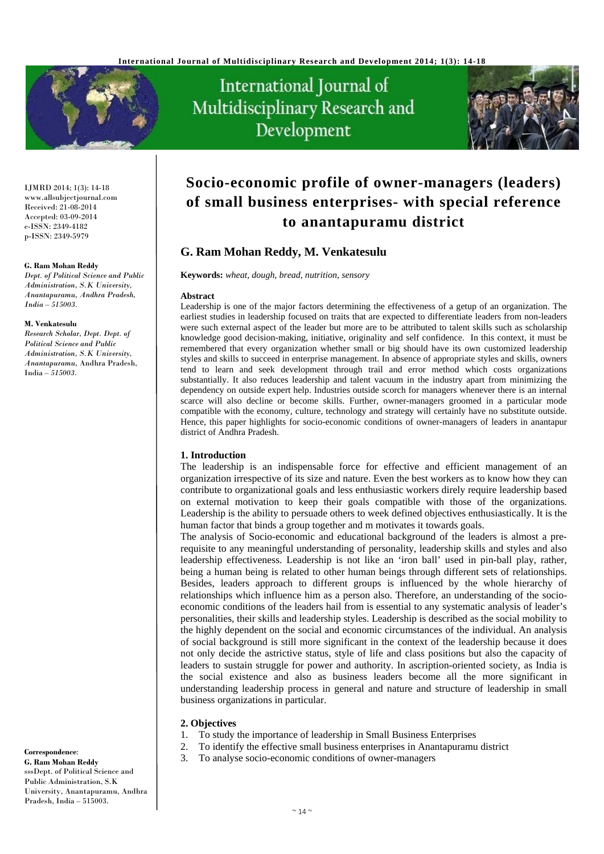



IJMRD 2014; 1(3): 14-18 www.allsubjectjournal.com Received: 21-08-2014 Accepted: 03-09-2014 e-ISSN: 2349-4182 p-ISSN: 2349-5979

#### **G. Ram Mohan Reddy**

*Dept. of Political Science and Public Administration, S.K University, Anantapuramu, Andhra Pradesh, India – 515003.* 

#### **M. Venkatesulu**

*Research Scholar, Dept. Dept. of Political Science and Public Administration, S.K University, Anantapuramu,* Andhra Pradesh, India *– 515003.*

**Correspondence**: **G. Ram Mohan Reddy** sssDept. of Political Science and Public Administration, S.K University, Anantapuramu, Andhra Pradesh, India – 515003.

# **Socio-economic profile of owner-managers (leaders) of small business enterprises- with special reference to anantapuramu district**

## **G. Ram Mohan Reddy, M. Venkatesulu**

**Keywords:** *wheat, dough, bread, nutrition, sensory* 

#### **Abstract**

Leadership is one of the major factors determining the effectiveness of a getup of an organization. The earliest studies in leadership focused on traits that are expected to differentiate leaders from non-leaders were such external aspect of the leader but more are to be attributed to talent skills such as scholarship knowledge good decision-making, initiative, originality and self confidence. In this context, it must be remembered that every organization whether small or big should have its own customized leadership styles and skills to succeed in enterprise management. In absence of appropriate styles and skills, owners tend to learn and seek development through trail and error method which costs organizations substantially. It also reduces leadership and talent vacuum in the industry apart from minimizing the dependency on outside expert help. Industries outside scorch for managers whenever there is an internal scarce will also decline or become skills. Further, owner-managers groomed in a particular mode compatible with the economy, culture, technology and strategy will certainly have no substitute outside. Hence, this paper highlights for socio-economic conditions of owner-managers of leaders in anantapur district of Andhra Pradesh.

## **1. Introduction**

The leadership is an indispensable force for effective and efficient management of an organization irrespective of its size and nature. Even the best workers as to know how they can contribute to organizational goals and less enthusiastic workers direly require leadership based on external motivation to keep their goals compatible with those of the organizations. Leadership is the ability to persuade others to week defined objectives enthusiastically. It is the human factor that binds a group together and m motivates it towards goals.

The analysis of Socio-economic and educational background of the leaders is almost a prerequisite to any meaningful understanding of personality, leadership skills and styles and also leadership effectiveness. Leadership is not like an 'iron ball' used in pin-ball play, rather, being a human being is related to other human beings through different sets of relationships. Besides, leaders approach to different groups is influenced by the whole hierarchy of relationships which influence him as a person also. Therefore, an understanding of the socioeconomic conditions of the leaders hail from is essential to any systematic analysis of leader's personalities, their skills and leadership styles. Leadership is described as the social mobility to the highly dependent on the social and economic circumstances of the individual. An analysis of social background is still more significant in the context of the leadership because it does not only decide the astrictive status, style of life and class positions but also the capacity of leaders to sustain struggle for power and authority. In ascription-oriented society, as India is the social existence and also as business leaders become all the more significant in understanding leadership process in general and nature and structure of leadership in small business organizations in particular.

#### **2. Objectives**

- 1. To study the importance of leadership in Small Business Enterprises
- 2. To identify the effective small business enterprises in Anantapuramu district
- 3. To analyse socio-economic conditions of owner-managers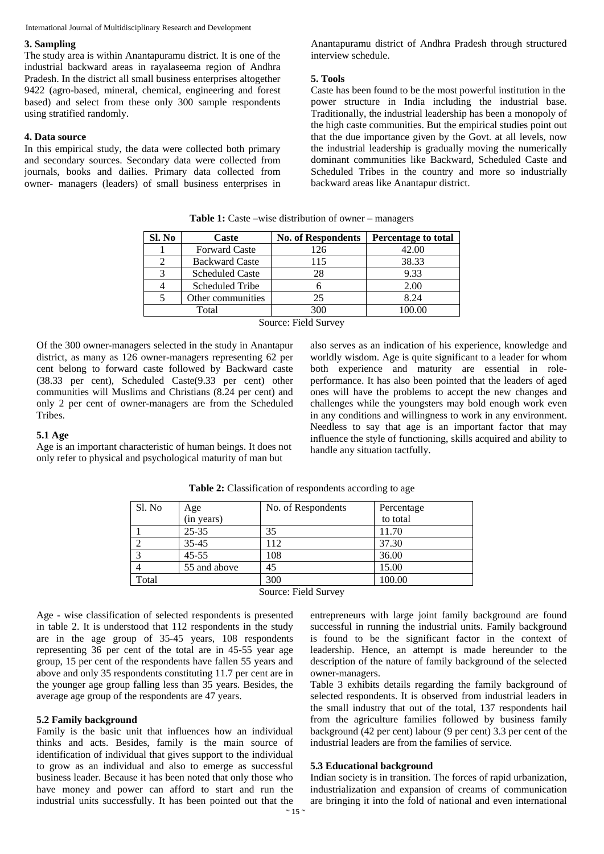#### **3. Sampling**

The study area is within Anantapuramu district. It is one of the industrial backward areas in rayalaseema region of Andhra Pradesh. In the district all small business enterprises altogether 9422 (agro-based, mineral, chemical, engineering and forest based) and select from these only 300 sample respondents using stratified randomly.

#### **4. Data source**

In this empirical study, the data were collected both primary and secondary sources. Secondary data were collected from journals, books and dailies. Primary data collected from owner- managers (leaders) of small business enterprises in

Anantapuramu district of Andhra Pradesh through structured interview schedule.

## **5. Tools**

Caste has been found to be the most powerful institution in the power structure in India including the industrial base. Traditionally, the industrial leadership has been a monopoly of the high caste communities. But the empirical studies point out that the due importance given by the Govt. at all levels, now the industrial leadership is gradually moving the numerically dominant communities like Backward, Scheduled Caste and Scheduled Tribes in the country and more so industrially backward areas like Anantapur district.

| <b>Table 1:</b> Caste –wise distribution of owner – managers |  |  |  |
|--------------------------------------------------------------|--|--|--|
|--------------------------------------------------------------|--|--|--|

| Sl. No | Caste                  | <b>No. of Respondents</b> | <b>Percentage to total</b> |
|--------|------------------------|---------------------------|----------------------------|
|        | <b>Forward Caste</b>   | 126                       | 42.00                      |
|        | <b>Backward Caste</b>  | 115                       | 38.33                      |
|        | <b>Scheduled Caste</b> | 28                        | 9.33                       |
|        | Scheduled Tribe        |                           | 2.00                       |
|        | Other communities      | 25                        | 8.24                       |
|        | Total                  | 300                       |                            |

Source: Field Survey

Of the 300 owner-managers selected in the study in Anantapur district, as many as 126 owner-managers representing 62 per cent belong to forward caste followed by Backward caste (38.33 per cent), Scheduled Caste(9.33 per cent) other communities will Muslims and Christians (8.24 per cent) and only 2 per cent of owner-managers are from the Scheduled Tribes.

#### **5.1 Age**

Age is an important characteristic of human beings. It does not only refer to physical and psychological maturity of man but

| also serves as an indication of his experience, knowledge and      |
|--------------------------------------------------------------------|
| worldly wisdom. Age is quite significant to a leader for whom      |
| both experience and maturity are essential in role-                |
| performance. It has also been pointed that the leaders of aged     |
| ones will have the problems to accept the new changes and          |
| challenges while the youngsters may bold enough work even          |
| in any conditions and willingness to work in any environment.      |
| Needless to say that age is an important factor that may           |
| influence the style of functioning, skills acquired and ability to |
| handle any situation tactfully.                                    |

| Sl. No | Age          | No. of Respondents | Percentage |
|--------|--------------|--------------------|------------|
|        | (in years)   |                    | to total   |
|        | $25 - 35$    | 35                 | 11.70      |
|        | $35 - 45$    | 112                | 37.30      |
|        | $45 - 55$    | 108                | 36.00      |
|        | 55 and above | 45                 | 15.00      |
| Total  |              | 300                | 100.00     |

**Table 2:** Classification of respondents according to age

Source: Field Survey

Age - wise classification of selected respondents is presented in table 2. It is understood that 112 respondents in the study are in the age group of 35-45 years, 108 respondents representing 36 per cent of the total are in 45-55 year age group, 15 per cent of the respondents have fallen 55 years and above and only 35 respondents constituting 11.7 per cent are in the younger age group falling less than 35 years. Besides, the average age group of the respondents are 47 years.

## **5.2 Family background**

Family is the basic unit that influences how an individual thinks and acts. Besides, family is the main source of identification of individual that gives support to the individual to grow as an individual and also to emerge as successful business leader. Because it has been noted that only those who have money and power can afford to start and run the industrial units successfully. It has been pointed out that the entrepreneurs with large joint family background are found successful in running the industrial units. Family background is found to be the significant factor in the context of leadership. Hence, an attempt is made hereunder to the description of the nature of family background of the selected owner-managers.

Table 3 exhibits details regarding the family background of selected respondents. It is observed from industrial leaders in the small industry that out of the total, 137 respondents hail from the agriculture families followed by business family background (42 per cent) labour (9 per cent) 3.3 per cent of the industrial leaders are from the families of service.

#### **5.3 Educational background**

Indian society is in transition. The forces of rapid urbanization, industrialization and expansion of creams of communication are bringing it into the fold of national and even international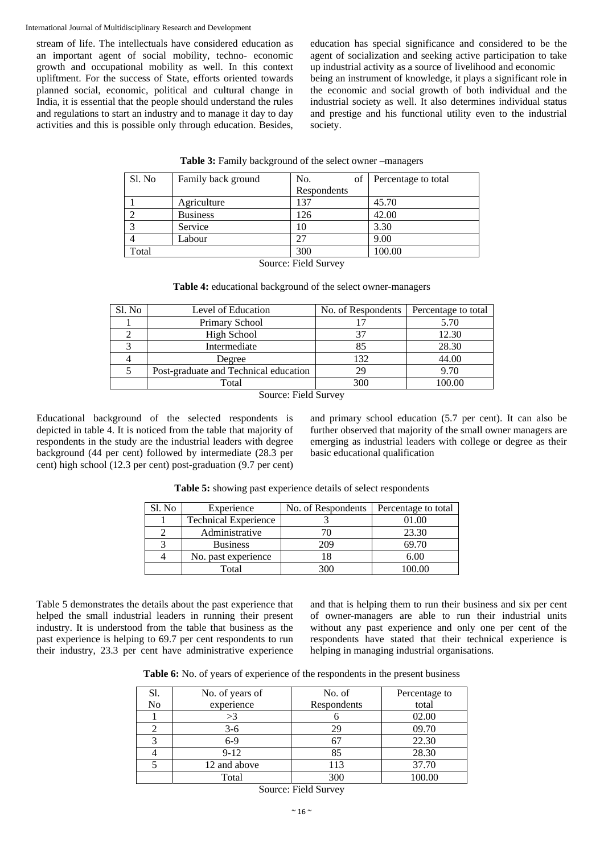stream of life. The intellectuals have considered education as an important agent of social mobility, techno- economic growth and occupational mobility as well. In this context upliftment. For the success of State, efforts oriented towards planned social, economic, political and cultural change in India, it is essential that the people should understand the rules and regulations to start an industry and to manage it day to day activities and this is possible only through education. Besides, education has special significance and considered to be the agent of socialization and seeking active participation to take up industrial activity as a source of livelihood and economic being an instrument of knowledge, it plays a significant role in the economic and social growth of both individual and the industrial society as well. It also determines individual status and prestige and his functional utility even to the industrial society.

| Sl. No               | Family back ground | No.<br>of   | Percentage to total |  |  |  |
|----------------------|--------------------|-------------|---------------------|--|--|--|
|                      |                    | Respondents |                     |  |  |  |
|                      | Agriculture        | 137         | 45.70               |  |  |  |
|                      | <b>Business</b>    | 126         | 42.00               |  |  |  |
|                      | Service            | 10          | 3.30                |  |  |  |
|                      | Labour             | 27          | 9.00                |  |  |  |
| Total                |                    | 300         | 100.00              |  |  |  |
| Source: Field Survey |                    |             |                     |  |  |  |

|  | Table 3: Family background of the select owner -managers |
|--|----------------------------------------------------------|
|--|----------------------------------------------------------|

**Table 4:** educational background of the select owner-managers

| Sl. No | Level of Education                    | No. of Respondents | Percentage to total |
|--------|---------------------------------------|--------------------|---------------------|
|        | Primary School                        |                    | 5.70                |
|        | High School                           |                    | 12.30               |
|        | Intermediate                          | 85                 | 28.30               |
|        | Degree                                | 132                | 44.00               |
|        | Post-graduate and Technical education | 29                 | 9.70                |
|        | Total                                 | 300                | 100.00              |

Source: Field Survey

Educational background of the selected respondents is depicted in table 4. It is noticed from the table that majority of respondents in the study are the industrial leaders with degree background (44 per cent) followed by intermediate (28.3 per cent) high school (12.3 per cent) post-graduation (9.7 per cent) and primary school education (5.7 per cent). It can also be further observed that majority of the small owner managers are emerging as industrial leaders with college or degree as their basic educational qualification

| Sl. No | Experience                  | No. of Respondents | Percentage to total |
|--------|-----------------------------|--------------------|---------------------|
|        | <b>Technical Experience</b> |                    | 01.00               |
|        | Administrative              |                    | 23.30               |
|        | <b>Business</b>             | 209                | 69.70               |
|        | No. past experience         |                    | 6.00                |
|        | Total                       |                    |                     |

**Table 5:** showing past experience details of select respondents

Table 5 demonstrates the details about the past experience that helped the small industrial leaders in running their present industry. It is understood from the table that business as the past experience is helping to 69.7 per cent respondents to run their industry, 23.3 per cent have administrative experience and that is helping them to run their business and six per cent of owner-managers are able to run their industrial units without any past experience and only one per cent of the respondents have stated that their technical experience is helping in managing industrial organisations.

**Table 6:** No. of years of experience of the respondents in the present business

| Sl. | No. of years of | No. of      | Percentage to |
|-----|-----------------|-------------|---------------|
| No  | experience      | Respondents | total         |
|     | >3              |             | 02.00         |
|     | $3-6$           |             | 09.70         |
|     | $6-9$           |             | 22.30         |
|     | $9 - 12$        | 85          | 28.30         |
|     | 12 and above    | 113         | 37.70         |
|     | Total           | 300         | 100.00        |

Source: Field Survey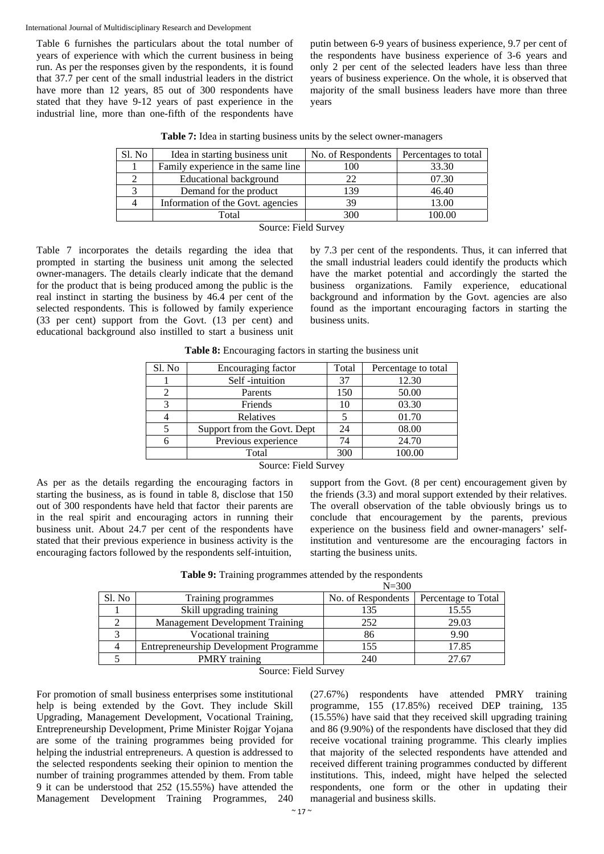Table 6 furnishes the particulars about the total number of years of experience with which the current business in being run. As per the responses given by the respondents, it is found that 37.7 per cent of the small industrial leaders in the district have more than 12 years, 85 out of 300 respondents have stated that they have 9-12 years of past experience in the industrial line, more than one-fifth of the respondents have putin between 6-9 years of business experience, 9.7 per cent of the respondents have business experience of 3-6 years and only 2 per cent of the selected leaders have less than three years of business experience. On the whole, it is observed that majority of the small business leaders have more than three years

| Table 7: Idea in starting business units by the select owner-managers |  |  |  |  |  |  |  |  |  |
|-----------------------------------------------------------------------|--|--|--|--|--|--|--|--|--|
|-----------------------------------------------------------------------|--|--|--|--|--|--|--|--|--|

| Sl. No | Idea in starting business unit     | No. of Respondents | Percentages to total |  |  |  |  |
|--------|------------------------------------|--------------------|----------------------|--|--|--|--|
|        | Family experience in the same line | 100                | 33.30                |  |  |  |  |
|        | <b>Educational background</b>      |                    | 07.30                |  |  |  |  |
|        | Demand for the product             | 139                | 46.40                |  |  |  |  |
|        | Information of the Govt. agencies  | 39                 | 13.00                |  |  |  |  |
|        | Total                              | 300                | 100.00               |  |  |  |  |
|        | $-$<br>____                        |                    |                      |  |  |  |  |

Source: Field Survey

Table 7 incorporates the details regarding the idea that prompted in starting the business unit among the selected owner-managers. The details clearly indicate that the demand for the product that is being produced among the public is the real instinct in starting the business by 46.4 per cent of the selected respondents. This is followed by family experience (33 per cent) support from the Govt. (13 per cent) and educational background also instilled to start a business unit by 7.3 per cent of the respondents. Thus, it can inferred that the small industrial leaders could identify the products which have the market potential and accordingly the started the business organizations. Family experience, educational background and information by the Govt. agencies are also found as the important encouraging factors in starting the business units.

Sl. No Encouraging factor Total Percentage to total 1 Self -intuition 137 12.30 2 | Parents | 150 50.00 3 Friends 10 03.30 4 Relatives 5 01.70<br>5 Support from the Govt. Dept 24 08.00 5 Support from the Govt. Dept 24 08.00<br>6 Previous experience 74 24.70 6 Previous experience 74 24.70 Total 300 100.00

**Table 8:** Encouraging factors in starting the business unit

## Source: Field Survey

As per as the details regarding the encouraging factors in starting the business, as is found in table 8, disclose that 150 out of 300 respondents have held that factor their parents are in the real spirit and encouraging actors in running their business unit. About 24.7 per cent of the respondents have stated that their previous experience in business activity is the encouraging factors followed by the respondents self-intuition,

support from the Govt. (8 per cent) encouragement given by the friends (3.3) and moral support extended by their relatives. The overall observation of the table obviously brings us to conclude that encouragement by the parents, previous experience on the business field and owner-managers' selfinstitution and venturesome are the encouraging factors in starting the business units.

**Table 9:** Training programmes attended by the respondents

|        |                                        | $N = 300$          |                     |  |
|--------|----------------------------------------|--------------------|---------------------|--|
| Sl. No | Training programmes                    | No. of Respondents | Percentage to Total |  |
|        | Skill upgrading training               | 135                | 15.55               |  |
|        | <b>Management Development Training</b> | 252                | 29.03               |  |
|        | Vocational training                    | 86                 | 9.90                |  |
|        | Entrepreneurship Development Programme | 155                | 17.85               |  |
|        | <b>PMRY</b> training                   | 240                | 27.67               |  |

Source: Field Survey

For promotion of small business enterprises some institutional help is being extended by the Govt. They include Skill Upgrading, Management Development, Vocational Training, Entrepreneurship Development, Prime Minister Rojgar Yojana are some of the training programmes being provided for helping the industrial entrepreneurs. A question is addressed to the selected respondents seeking their opinion to mention the number of training programmes attended by them. From table 9 it can be understood that 252 (15.55%) have attended the Management Development Training Programmes, 240 (27.67%) respondents have attended PMRY training programme, 155 (17.85%) received DEP training, 135 (15.55%) have said that they received skill upgrading training and 86 (9.90%) of the respondents have disclosed that they did receive vocational training programme. This clearly implies that majority of the selected respondents have attended and received different training programmes conducted by different institutions. This, indeed, might have helped the selected respondents, one form or the other in updating their managerial and business skills.